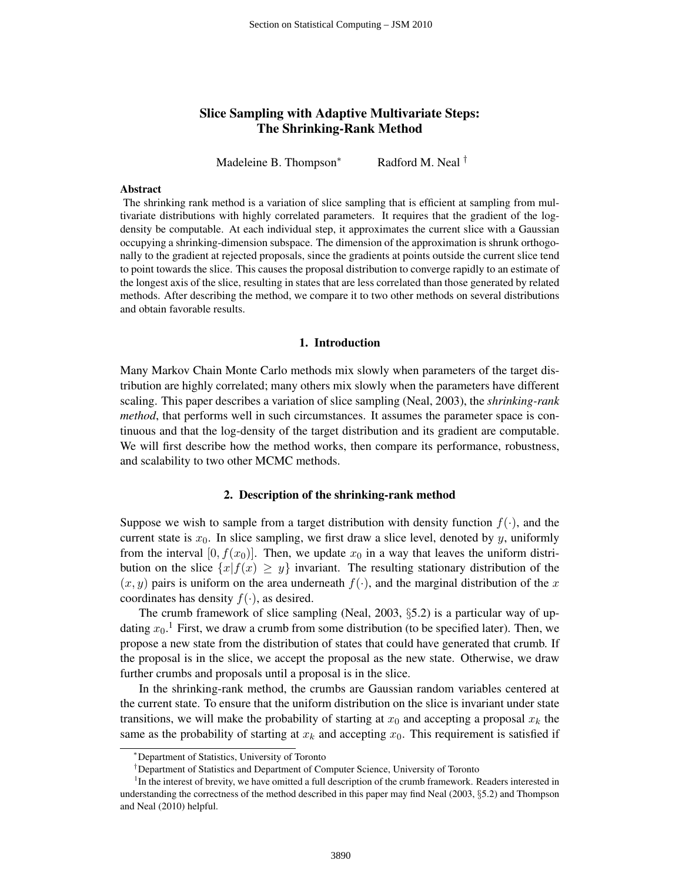# Slice Sampling with Adaptive Multivariate Steps: The Shrinking-Rank Method

Madeleine B. Thompson<sup>\*</sup> Radford M. Neal <sup>†</sup>

#### Abstract

The shrinking rank method is a variation of slice sampling that is efficient at sampling from multivariate distributions with highly correlated parameters. It requires that the gradient of the logdensity be computable. At each individual step, it approximates the current slice with a Gaussian occupying a shrinking-dimension subspace. The dimension of the approximation is shrunk orthogonally to the gradient at rejected proposals, since the gradients at points outside the current slice tend to point towards the slice. This causes the proposal distribution to converge rapidly to an estimate of the longest axis of the slice, resulting in states that are less correlated than those generated by related methods. After describing the method, we compare it to two other methods on several distributions and obtain favorable results.

## 1. Introduction

Many Markov Chain Monte Carlo methods mix slowly when parameters of the target distribution are highly correlated; many others mix slowly when the parameters have different scaling. This paper describes a variation of slice sampling (Neal, 2003), the *shrinking-rank method*, that performs well in such circumstances. It assumes the parameter space is continuous and that the log-density of the target distribution and its gradient are computable. We will first describe how the method works, then compare its performance, robustness, and scalability to two other MCMC methods.

### 2. Description of the shrinking-rank method

Suppose we wish to sample from a target distribution with density function  $f(.)$ , and the current state is  $x_0$ . In slice sampling, we first draw a slice level, denoted by  $y$ , uniformly from the interval [0,  $f(x_0)$ ]. Then, we update  $x_0$  in a way that leaves the uniform distribution on the slice  $\{x|f(x) \geq y\}$  invariant. The resulting stationary distribution of the  $(x, y)$  pairs is uniform on the area underneath  $f(\cdot)$ , and the marginal distribution of the x coordinates has density  $f(\cdot)$ , as desired.

The crumb framework of slice sampling (Neal, 2003, §5.2) is a particular way of updating  $x_0$ .<sup>1</sup> First, we draw a crumb from some distribution (to be specified later). Then, we propose a new state from the distribution of states that could have generated that crumb. If the proposal is in the slice, we accept the proposal as the new state. Otherwise, we draw further crumbs and proposals until a proposal is in the slice.

In the shrinking-rank method, the crumbs are Gaussian random variables centered at the current state. To ensure that the uniform distribution on the slice is invariant under state transitions, we will make the probability of starting at  $x_0$  and accepting a proposal  $x_k$  the same as the probability of starting at  $x_k$  and accepting  $x_0$ . This requirement is satisfied if

<sup>∗</sup>Department of Statistics, University of Toronto

<sup>†</sup>Department of Statistics and Department of Computer Science, University of Toronto

<sup>&</sup>lt;sup>1</sup>In the interest of brevity, we have omitted a full description of the crumb framework. Readers interested in understanding the correctness of the method described in this paper may find Neal (2003, §5.2) and Thompson and Neal (2010) helpful.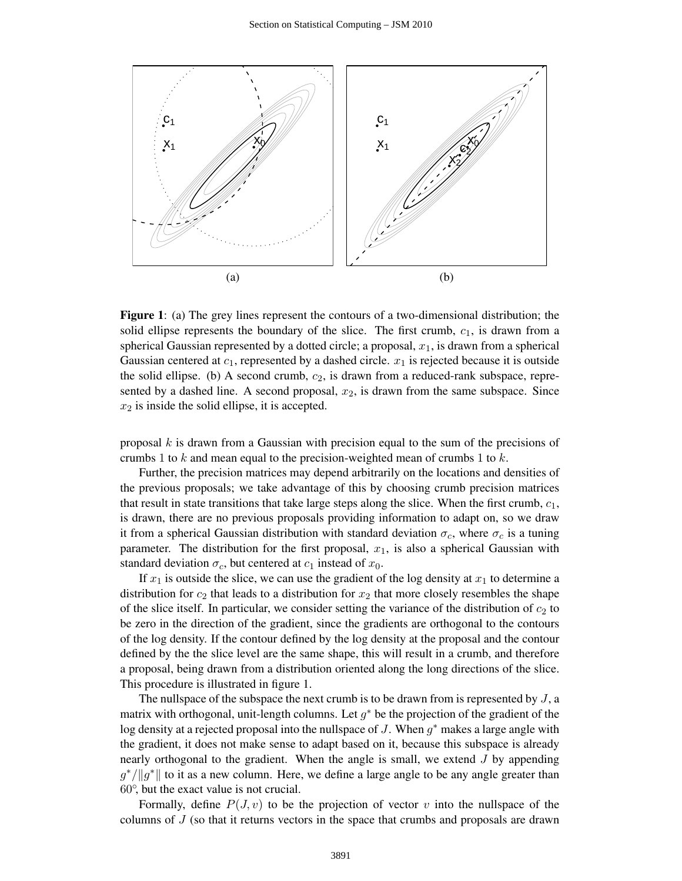

Figure 1: (a) The grey lines represent the contours of a two-dimensional distribution; the solid ellipse represents the boundary of the slice. The first crumb,  $c_1$ , is drawn from a spherical Gaussian represented by a dotted circle; a proposal,  $x_1$ , is drawn from a spherical Gaussian centered at  $c_1$ , represented by a dashed circle.  $x_1$  is rejected because it is outside the solid ellipse. (b) A second crumb,  $c_2$ , is drawn from a reduced-rank subspace, represented by a dashed line. A second proposal,  $x_2$ , is drawn from the same subspace. Since  $x_2$  is inside the solid ellipse, it is accepted.

proposal  $k$  is drawn from a Gaussian with precision equal to the sum of the precisions of crumbs 1 to  $k$  and mean equal to the precision-weighted mean of crumbs 1 to  $k$ .

Further, the precision matrices may depend arbitrarily on the locations and densities of the previous proposals; we take advantage of this by choosing crumb precision matrices that result in state transitions that take large steps along the slice. When the first crumb,  $c_1$ , is drawn, there are no previous proposals providing information to adapt on, so we draw it from a spherical Gaussian distribution with standard deviation  $\sigma_c$ , where  $\sigma_c$  is a tuning parameter. The distribution for the first proposal,  $x_1$ , is also a spherical Gaussian with standard deviation  $\sigma_c$ , but centered at  $c_1$  instead of  $x_0$ .

If  $x_1$  is outside the slice, we can use the gradient of the log density at  $x_1$  to determine a distribution for  $c_2$  that leads to a distribution for  $x_2$  that more closely resembles the shape of the slice itself. In particular, we consider setting the variance of the distribution of  $c_2$  to be zero in the direction of the gradient, since the gradients are orthogonal to the contours of the log density. If the contour defined by the log density at the proposal and the contour defined by the the slice level are the same shape, this will result in a crumb, and therefore a proposal, being drawn from a distribution oriented along the long directions of the slice. This procedure is illustrated in figure 1.

The nullspace of the subspace the next crumb is to be drawn from is represented by  $J$ , a matrix with orthogonal, unit-length columns. Let  $g^*$  be the projection of the gradient of the log density at a rejected proposal into the nullspace of J. When  $g^*$  makes a large angle with the gradient, it does not make sense to adapt based on it, because this subspace is already nearly orthogonal to the gradient. When the angle is small, we extend  $J$  by appending  $g^* / \|g^*\|$  to it as a new column. Here, we define a large angle to be any angle greater than 60◦ , but the exact value is not crucial.

Formally, define  $P(J, v)$  to be the projection of vector v into the nullspace of the columns of  $J$  (so that it returns vectors in the space that crumbs and proposals are drawn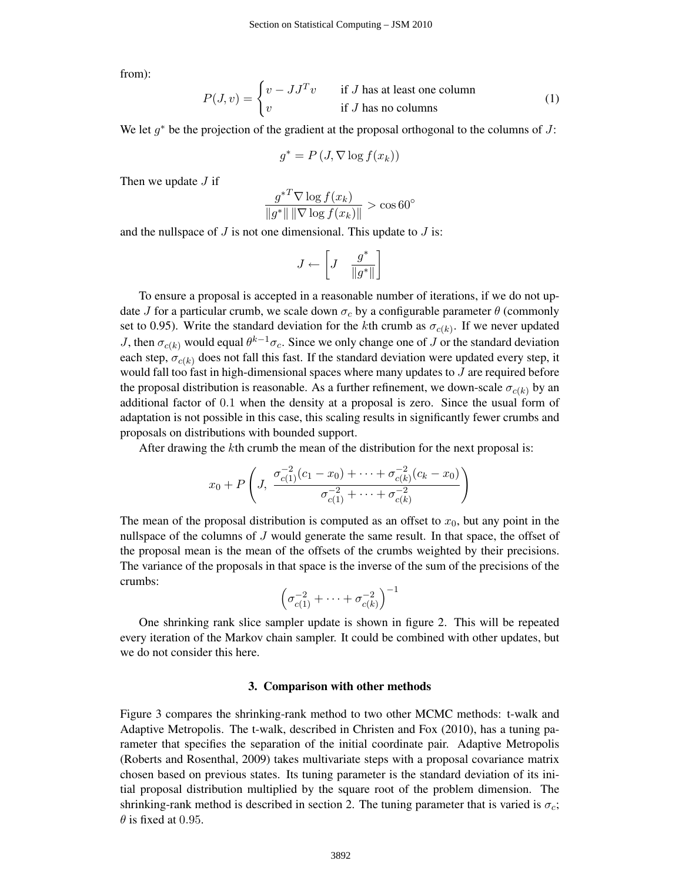from):

$$
P(J, v) = \begin{cases} v - JJ^{T}v & \text{if } J \text{ has at least one column} \\ v & \text{if } J \text{ has no columns} \end{cases}
$$
 (1)

We let  $g^*$  be the projection of the gradient at the proposal orthogonal to the columns of J:

$$
g^* = P\left(J, \nabla \log f(x_k)\right)
$$

Then we update  $J$  if

$$
\frac{g^{*T} \nabla \log f(x_k)}{\|g^*\| \|\nabla \log f(x_k)\|} > \cos 60^\circ
$$

and the nullspace of  $J$  is not one dimensional. This update to  $J$  is:

$$
J \gets \left[J \quad \frac{g^*}{\|g^*\|}\right]
$$

To ensure a proposal is accepted in a reasonable number of iterations, if we do not update J for a particular crumb, we scale down  $\sigma_c$  by a configurable parameter  $\theta$  (commonly set to 0.95). Write the standard deviation for the kth crumb as  $\sigma_{c(k)}$ . If we never updated J, then  $\sigma_{c(k)}$  would equal  $\theta^{k-1}\sigma_c$ . Since we only change one of J or the standard deviation each step,  $\sigma_{c(k)}$  does not fall this fast. If the standard deviation were updated every step, it would fall too fast in high-dimensional spaces where many updates to  $J$  are required before the proposal distribution is reasonable. As a further refinement, we down-scale  $\sigma_{c(k)}$  by an additional factor of 0.1 when the density at a proposal is zero. Since the usual form of adaptation is not possible in this case, this scaling results in significantly fewer crumbs and proposals on distributions with bounded support.

After drawing the kth crumb the mean of the distribution for the next proposal is:

$$
x_0 + P\left(J, \frac{\sigma_{c(1)}^{-2}(c_1 - x_0) + \dots + \sigma_{c(k)}^{-2}(c_k - x_0)}{\sigma_{c(1)}^{-2} + \dots + \sigma_{c(k)}^{-2}}\right)
$$

The mean of the proposal distribution is computed as an offset to  $x<sub>0</sub>$ , but any point in the nullspace of the columns of J would generate the same result. In that space, the offset of the proposal mean is the mean of the offsets of the crumbs weighted by their precisions. The variance of the proposals in that space is the inverse of the sum of the precisions of the crumbs:

$$
\left(\sigma_{c(1)}^{-2} + \cdots + \sigma_{c(k)}^{-2}\right)^{-1}
$$

One shrinking rank slice sampler update is shown in figure 2. This will be repeated every iteration of the Markov chain sampler. It could be combined with other updates, but we do not consider this here.

#### 3. Comparison with other methods

Figure 3 compares the shrinking-rank method to two other MCMC methods: t-walk and Adaptive Metropolis. The t-walk, described in Christen and Fox (2010), has a tuning parameter that specifies the separation of the initial coordinate pair. Adaptive Metropolis (Roberts and Rosenthal, 2009) takes multivariate steps with a proposal covariance matrix chosen based on previous states. Its tuning parameter is the standard deviation of its initial proposal distribution multiplied by the square root of the problem dimension. The shrinking-rank method is described in section 2. The tuning parameter that is varied is  $\sigma_c$ ;  $\theta$  is fixed at 0.95.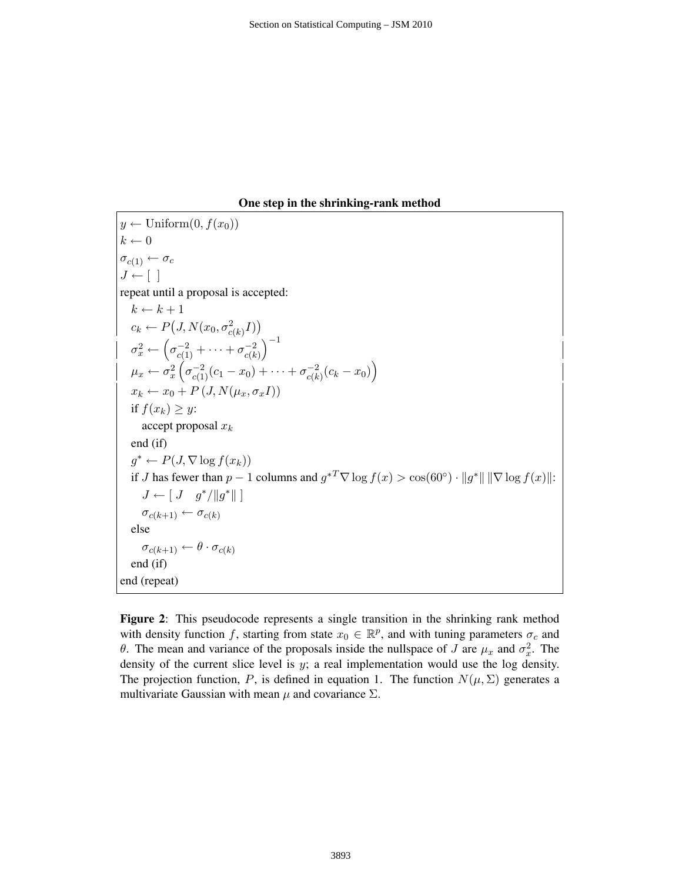## One step in the shrinking-rank method

$$
y \leftarrow \text{Uniform}(0, f(x_0))
$$
  
\n
$$
k \leftarrow 0
$$
  
\n
$$
\sigma_{c(1)} \leftarrow \sigma_c
$$
  
\n
$$
J \leftarrow []
$$
  
\nrepeat until a proposal is accepted:  
\n
$$
k \leftarrow k + 1
$$
  
\n
$$
c_k \leftarrow P(J, N(x_0, \sigma_{c(k)}^2 I))
$$
  
\n
$$
\sigma_x^2 \leftarrow (\sigma_{c(1)}^{-2} + \cdots + \sigma_{c(k)}^{-2})^{-1}
$$
  
\n
$$
\mu_x \leftarrow \sigma_x^2 (\sigma_{c(1)}^{-2} (c_1 - x_0) + \cdots + \sigma_{c(k)}^{-2} (c_k - x_0))
$$
  
\n
$$
x_k \leftarrow x_0 + P(J, N(\mu_x, \sigma_x I))
$$
  
\nif  $f(x_k) \geq y$ :  
\naccept proposal  $x_k$   
\nend (if)  
\n
$$
g^* \leftarrow P(J, \nabla \log f(x_k))
$$
  
\nif J has fewer than  $p - 1$  columns and  $g^{*T} \nabla \log f(x) > \cos(60^\circ) \cdot ||g^*|| ||\nabla \log f(x)||$ :  
\n
$$
J \leftarrow [J \quad g^* / ||g^*|| ]
$$
  
\n
$$
\sigma_{c(k+1)} \leftarrow \sigma_{c(k)}
$$
  
\nelse  
\n
$$
\sigma_{c(k+1)} \leftarrow \theta \cdot \sigma_{c(k)}
$$
  
\nend (if)  
\nend (repeat)

Figure 2: This pseudocode represents a single transition in the shrinking rank method with density function f, starting from state  $x_0 \in \mathbb{R}^p$ , and with tuning parameters  $\sigma_c$  and θ. The mean and variance of the proposals inside the nullspace of *J* are  $\mu_x$  and  $\sigma_x^2$ . The density of the current slice level is  $y$ ; a real implementation would use the log density. The projection function, P, is defined in equation 1. The function  $N(\mu, \Sigma)$  generates a multivariate Gaussian with mean  $\mu$  and covariance  $\Sigma$ .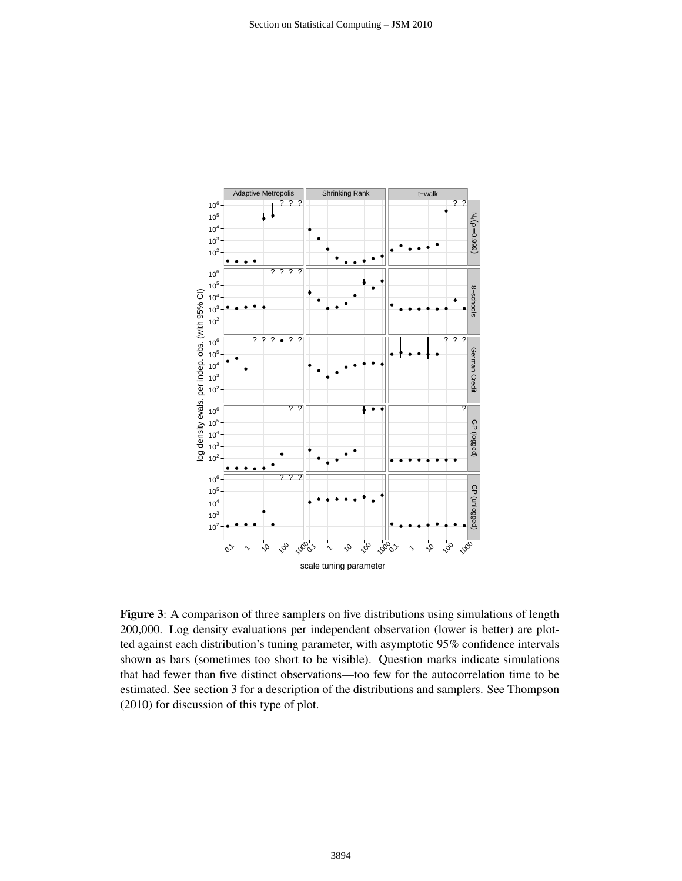

Figure 3: A comparison of three samplers on five distributions using simulations of length 200,000. Log density evaluations per independent observation (lower is better) are plotted against each distribution's tuning parameter, with asymptotic 95% confidence intervals shown as bars (sometimes too short to be visible). Question marks indicate simulations that had fewer than five distinct observations—too few for the autocorrelation time to be estimated. See section 3 for a description of the distributions and samplers. See Thompson (2010) for discussion of this type of plot.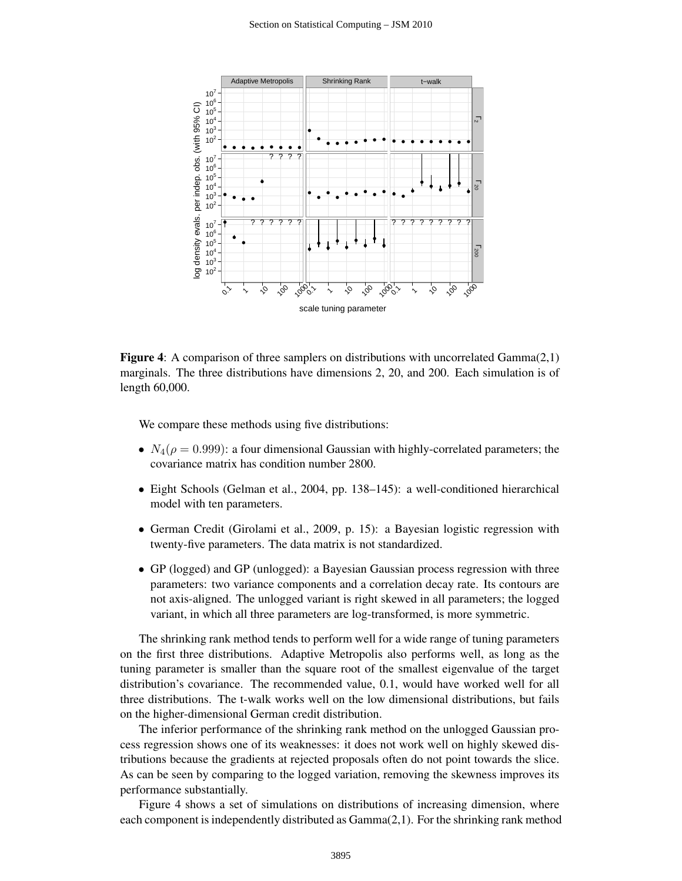

**Figure 4:** A comparison of three samplers on distributions with uncorrelated  $Gamma(2,1)$ marginals. The three distributions have dimensions 2, 20, and 200. Each simulation is of length 60,000.

We compare these methods using five distributions:

- $N_4(\rho = 0.999)$ : a four dimensional Gaussian with highly-correlated parameters; the covariance matrix has condition number 2800.
- Eight Schools (Gelman et al., 2004, pp. 138–145): a well-conditioned hierarchical model with ten parameters.
- German Credit (Girolami et al., 2009, p. 15): a Bayesian logistic regression with twenty-five parameters. The data matrix is not standardized.
- GP (logged) and GP (unlogged): a Bayesian Gaussian process regression with three parameters: two variance components and a correlation decay rate. Its contours are not axis-aligned. The unlogged variant is right skewed in all parameters; the logged variant, in which all three parameters are log-transformed, is more symmetric.

The shrinking rank method tends to perform well for a wide range of tuning parameters on the first three distributions. Adaptive Metropolis also performs well, as long as the tuning parameter is smaller than the square root of the smallest eigenvalue of the target distribution's covariance. The recommended value, 0.1, would have worked well for all three distributions. The t-walk works well on the low dimensional distributions, but fails on the higher-dimensional German credit distribution.

The inferior performance of the shrinking rank method on the unlogged Gaussian process regression shows one of its weaknesses: it does not work well on highly skewed distributions because the gradients at rejected proposals often do not point towards the slice. As can be seen by comparing to the logged variation, removing the skewness improves its performance substantially.

Figure 4 shows a set of simulations on distributions of increasing dimension, where each component is independently distributed as Gamma(2,1). For the shrinking rank method